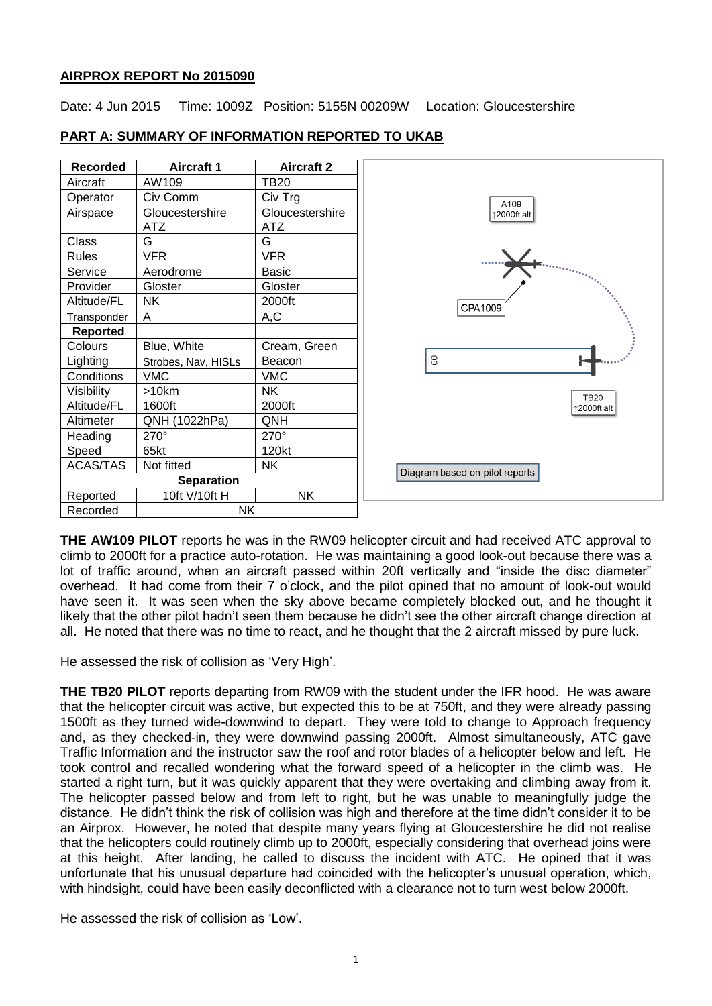### **AIRPROX REPORT No 2015090**

Date: 4 Jun 2015 Time: 1009Z Position: 5155N 00209W Location: Gloucestershire

| Recorded          | <b>Aircraft 1</b>   | <b>Aircraft 2</b> |
|-------------------|---------------------|-------------------|
| Aircraft          | AW109               | <b>TB20</b>       |
| Operator          | Civ Comm            | Civ Trg           |
| Airspace          | Gloucestershire     | Gloucestershire   |
|                   | ATZ                 | ATZ               |
| Class             | G                   | G                 |
| <b>Rules</b>      | VFR                 | <b>VFR</b>        |
| Service           | Aerodrome           | Basic             |
| Provider          | Gloster             | Gloster           |
| Altitude/FL       | NΚ                  | 2000ft            |
| Transponder       | Α                   | A,C               |
| <b>Reported</b>   |                     |                   |
| Colours           | Blue, White         | Cream, Green      |
| Lighting          | Strobes, Nav, HISLs | Beacon            |
| Conditions        | <b>VMC</b>          | <b>VMC</b>        |
| Visibility        | $>10$ km            | NΚ                |
| Altitude/FL       | 1600ft              | 2000ft            |
| Altimeter         | QNH (1022hPa)       | QNH               |
| Heading           | $270^\circ$         | $270^\circ$       |
| Speed             | 65kt                | 120kt             |
| <b>ACAS/TAS</b>   | Not fitted          | NΚ                |
| <b>Separation</b> |                     |                   |
| Reported          | 10ft V/10ft H       | NΚ                |
| Recorded          | NΚ                  |                   |

# **PART A: SUMMARY OF INFORMATION REPORTED TO UKAB**



**THE AW109 PILOT** reports he was in the RW09 helicopter circuit and had received ATC approval to climb to 2000ft for a practice auto-rotation. He was maintaining a good look-out because there was a lot of traffic around, when an aircraft passed within 20ft vertically and "inside the disc diameter" overhead. It had come from their 7 o'clock, and the pilot opined that no amount of look-out would have seen it. It was seen when the sky above became completely blocked out, and he thought it likely that the other pilot hadn't seen them because he didn't see the other aircraft change direction at all. He noted that there was no time to react, and he thought that the 2 aircraft missed by pure luck.

He assessed the risk of collision as 'Very High'.

**THE TB20 PILOT** reports departing from RW09 with the student under the IFR hood. He was aware that the helicopter circuit was active, but expected this to be at 750ft, and they were already passing 1500ft as they turned wide-downwind to depart. They were told to change to Approach frequency and, as they checked-in, they were downwind passing 2000ft. Almost simultaneously, ATC gave Traffic Information and the instructor saw the roof and rotor blades of a helicopter below and left. He took control and recalled wondering what the forward speed of a helicopter in the climb was. He started a right turn, but it was quickly apparent that they were overtaking and climbing away from it. The helicopter passed below and from left to right, but he was unable to meaningfully judge the distance. He didn't think the risk of collision was high and therefore at the time didn't consider it to be an Airprox. However, he noted that despite many years flying at Gloucestershire he did not realise that the helicopters could routinely climb up to 2000ft, especially considering that overhead joins were at this height. After landing, he called to discuss the incident with ATC. He opined that it was unfortunate that his unusual departure had coincided with the helicopter's unusual operation, which, with hindsight, could have been easily deconflicted with a clearance not to turn west below 2000ft.

He assessed the risk of collision as 'Low'.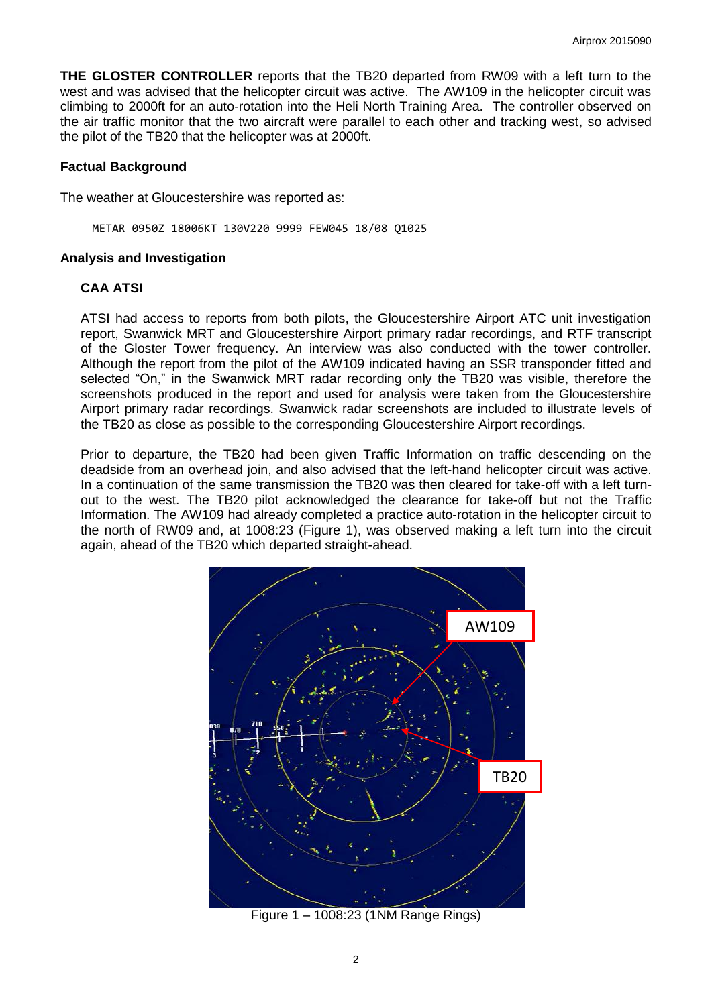**THE GLOSTER CONTROLLER** reports that the TB20 departed from RW09 with a left turn to the west and was advised that the helicopter circuit was active. The AW109 in the helicopter circuit was climbing to 2000ft for an auto-rotation into the Heli North Training Area. The controller observed on the air traffic monitor that the two aircraft were parallel to each other and tracking west, so advised the pilot of the TB20 that the helicopter was at 2000ft.

### **Factual Background**

The weather at Gloucestershire was reported as:

METAR 0950Z 18006KT 130V220 9999 FEW045 18/08 Q1025

#### **Analysis and Investigation**

#### **CAA ATSI**

ATSI had access to reports from both pilots, the Gloucestershire Airport ATC unit investigation report, Swanwick MRT and Gloucestershire Airport primary radar recordings, and RTF transcript of the Gloster Tower frequency. An interview was also conducted with the tower controller. Although the report from the pilot of the AW109 indicated having an SSR transponder fitted and selected "On," in the Swanwick MRT radar recording only the TB20 was visible, therefore the screenshots produced in the report and used for analysis were taken from the Gloucestershire Airport primary radar recordings. Swanwick radar screenshots are included to illustrate levels of the TB20 as close as possible to the corresponding Gloucestershire Airport recordings.

Prior to departure, the TB20 had been given Traffic Information on traffic descending on the deadside from an overhead join, and also advised that the left-hand helicopter circuit was active. In a continuation of the same transmission the TB20 was then cleared for take-off with a left turnout to the west. The TB20 pilot acknowledged the clearance for take-off but not the Traffic Information. The AW109 had already completed a practice auto-rotation in the helicopter circuit to the north of RW09 and, at 1008:23 (Figure 1), was observed making a left turn into the circuit again, ahead of the TB20 which departed straight-ahead.



Figure 1 – 1008:23 (1NM Range Rings)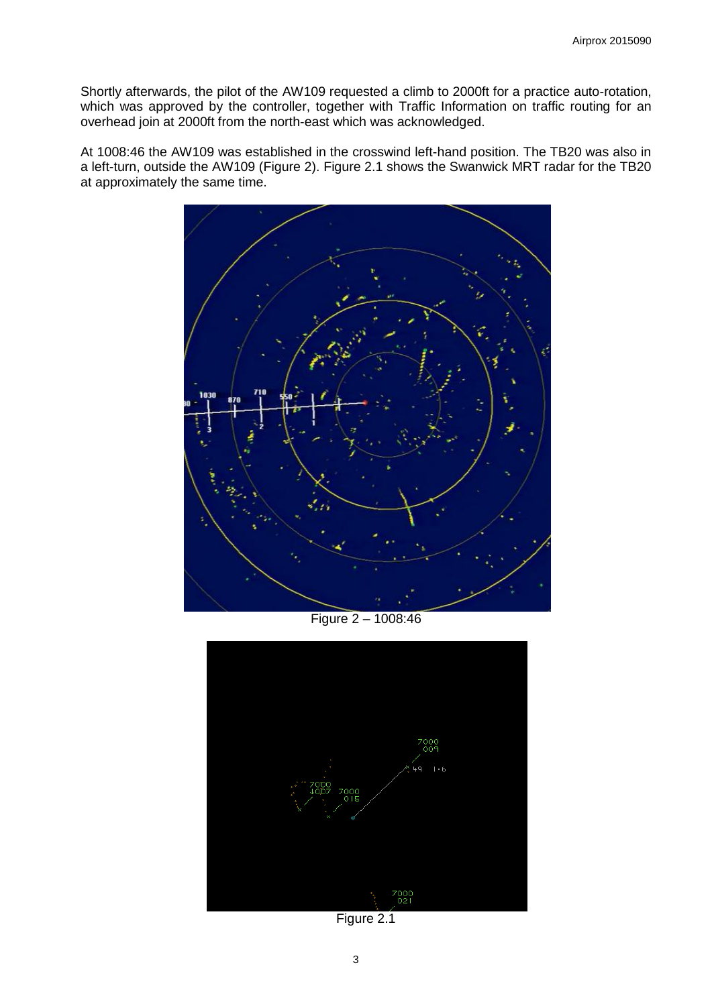Shortly afterwards, the pilot of the AW109 requested a climb to 2000ft for a practice auto-rotation, which was approved by the controller, together with Traffic Information on traffic routing for an overhead join at 2000ft from the north-east which was acknowledged.

At 1008:46 the AW109 was established in the crosswind left-hand position. The TB20 was also in a left-turn, outside the AW109 (Figure 2). Figure 2.1 shows the Swanwick MRT radar for the TB20 at approximately the same time.



Figure 2 – 1008:46



Figure 2.1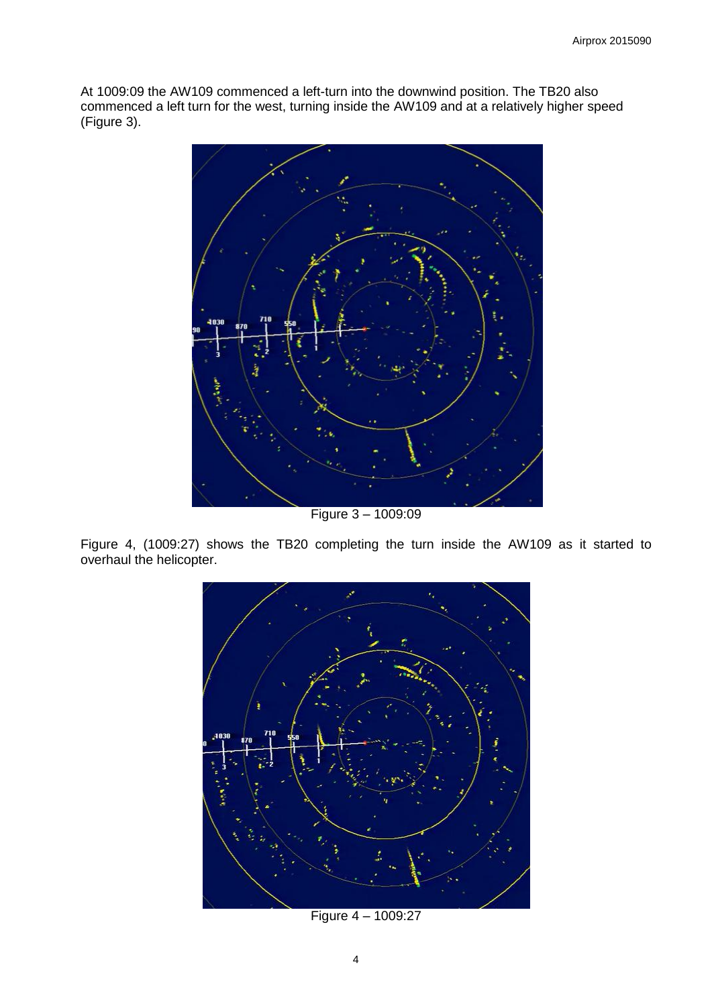At 1009:09 the AW109 commenced a left-turn into the downwind position. The TB20 also commenced a left turn for the west, turning inside the AW109 and at a relatively higher speed (Figure 3).



Figure 3 – 1009:09

Figure 4, (1009:27) shows the TB20 completing the turn inside the AW109 as it started to overhaul the helicopter.



Figure 4 – 1009:27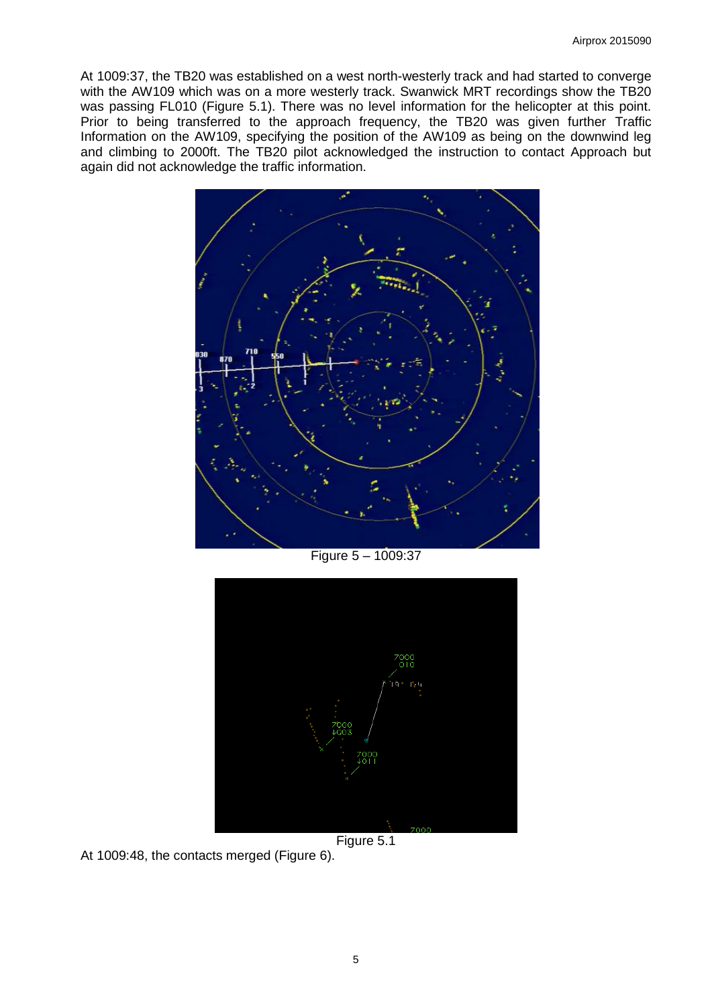At 1009:37, the TB20 was established on a west north-westerly track and had started to converge with the AW109 which was on a more westerly track. Swanwick MRT recordings show the TB20 was passing FL010 (Figure 5.1). There was no level information for the helicopter at this point. Prior to being transferred to the approach frequency, the TB20 was given further Traffic Information on the AW109, specifying the position of the AW109 as being on the downwind leg and climbing to 2000ft. The TB20 pilot acknowledged the instruction to contact Approach but again did not acknowledge the traffic information.



Figure 5 – 1009:37





At 1009:48, the contacts merged (Figure 6).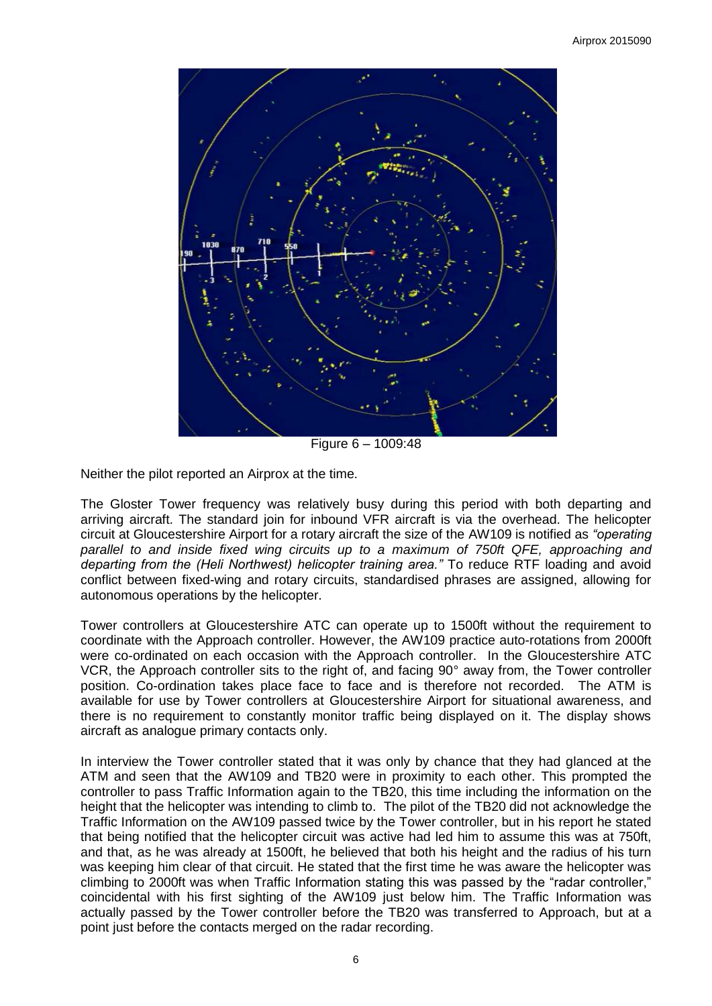

Figure 6 – 1009:48

Neither the pilot reported an Airprox at the time.

The Gloster Tower frequency was relatively busy during this period with both departing and arriving aircraft. The standard join for inbound VFR aircraft is via the overhead. The helicopter circuit at Gloucestershire Airport for a rotary aircraft the size of the AW109 is notified as *"operating parallel to and inside fixed wing circuits up to a maximum of 750ft QFE, approaching and departing from the (Heli Northwest) helicopter training area."* To reduce RTF loading and avoid conflict between fixed-wing and rotary circuits, standardised phrases are assigned, allowing for autonomous operations by the helicopter.

Tower controllers at Gloucestershire ATC can operate up to 1500ft without the requirement to coordinate with the Approach controller. However, the AW109 practice auto-rotations from 2000ft were co-ordinated on each occasion with the Approach controller. In the Gloucestershire ATC VCR, the Approach controller sits to the right of, and facing 90° away from, the Tower controller position. Co-ordination takes place face to face and is therefore not recorded. The ATM is available for use by Tower controllers at Gloucestershire Airport for situational awareness, and there is no requirement to constantly monitor traffic being displayed on it. The display shows aircraft as analogue primary contacts only.

In interview the Tower controller stated that it was only by chance that they had glanced at the ATM and seen that the AW109 and TB20 were in proximity to each other. This prompted the controller to pass Traffic Information again to the TB20, this time including the information on the height that the helicopter was intending to climb to. The pilot of the TB20 did not acknowledge the Traffic Information on the AW109 passed twice by the Tower controller, but in his report he stated that being notified that the helicopter circuit was active had led him to assume this was at 750ft, and that, as he was already at 1500ft, he believed that both his height and the radius of his turn was keeping him clear of that circuit. He stated that the first time he was aware the helicopter was climbing to 2000ft was when Traffic Information stating this was passed by the "radar controller," coincidental with his first sighting of the AW109 just below him. The Traffic Information was actually passed by the Tower controller before the TB20 was transferred to Approach, but at a point just before the contacts merged on the radar recording.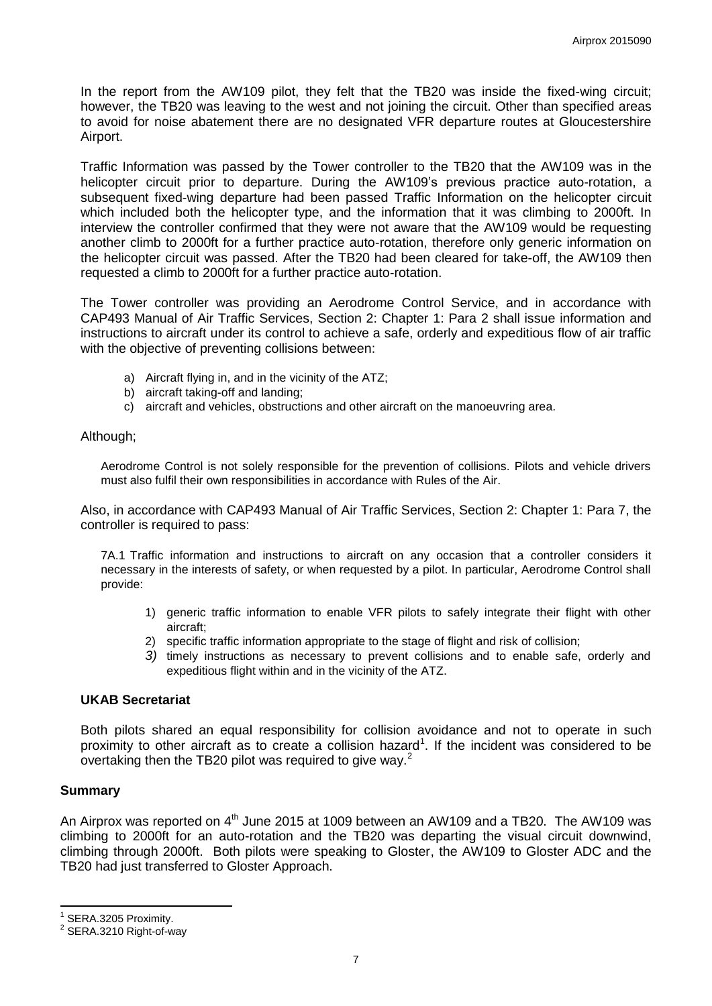In the report from the AW109 pilot, they felt that the TB20 was inside the fixed-wing circuit; however, the TB20 was leaving to the west and not joining the circuit. Other than specified areas to avoid for noise abatement there are no designated VFR departure routes at Gloucestershire Airport.

Traffic Information was passed by the Tower controller to the TB20 that the AW109 was in the helicopter circuit prior to departure. During the AW109's previous practice auto-rotation, a subsequent fixed-wing departure had been passed Traffic Information on the helicopter circuit which included both the helicopter type, and the information that it was climbing to 2000ft. In interview the controller confirmed that they were not aware that the AW109 would be requesting another climb to 2000ft for a further practice auto-rotation, therefore only generic information on the helicopter circuit was passed. After the TB20 had been cleared for take-off, the AW109 then requested a climb to 2000ft for a further practice auto-rotation.

The Tower controller was providing an Aerodrome Control Service, and in accordance with CAP493 Manual of Air Traffic Services, Section 2: Chapter 1: Para 2 shall issue information and instructions to aircraft under its control to achieve a safe, orderly and expeditious flow of air traffic with the objective of preventing collisions between:

- a) Aircraft flying in, and in the vicinity of the ATZ;
- b) aircraft taking-off and landing;
- c) aircraft and vehicles, obstructions and other aircraft on the manoeuvring area.

### Although;

Aerodrome Control is not solely responsible for the prevention of collisions. Pilots and vehicle drivers must also fulfil their own responsibilities in accordance with Rules of the Air.

Also, in accordance with CAP493 Manual of Air Traffic Services, Section 2: Chapter 1: Para 7, the controller is required to pass:

7A.1 Traffic information and instructions to aircraft on any occasion that a controller considers it necessary in the interests of safety, or when requested by a pilot. In particular, Aerodrome Control shall provide:

- 1) generic traffic information to enable VFR pilots to safely integrate their flight with other aircraft;
- 2) specific traffic information appropriate to the stage of flight and risk of collision;
- *3)* timely instructions as necessary to prevent collisions and to enable safe, orderly and expeditious flight within and in the vicinity of the ATZ.

## **UKAB Secretariat**

Both pilots shared an equal responsibility for collision avoidance and not to operate in such proximity to other aircraft as to create a collision hazard<sup>1</sup>. If the incident was considered to be overtaking then the TB20 pilot was required to give way.<sup>2</sup>

## **Summary**

 $\overline{\phantom{a}}$ 

An Airprox was reported on 4<sup>th</sup> June 2015 at 1009 between an AW109 and a TB20. The AW109 was climbing to 2000ft for an auto-rotation and the TB20 was departing the visual circuit downwind, climbing through 2000ft. Both pilots were speaking to Gloster, the AW109 to Gloster ADC and the TB20 had just transferred to Gloster Approach.

<sup>1</sup> SERA.3205 Proximity.

<sup>&</sup>lt;sup>2</sup> SERA.3210 Right-of-way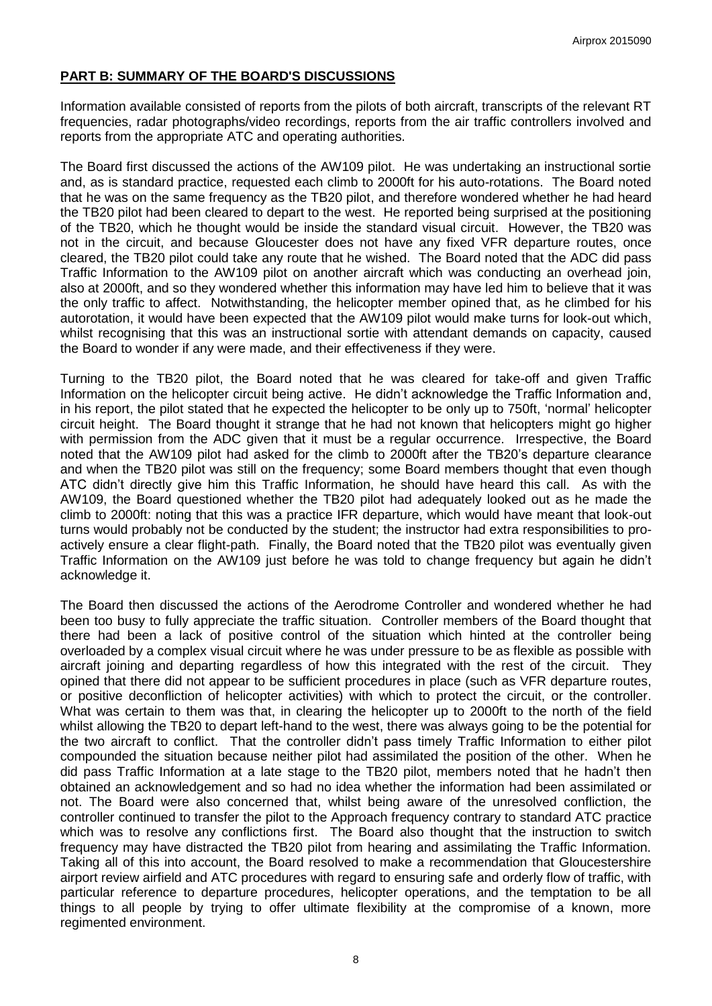# **PART B: SUMMARY OF THE BOARD'S DISCUSSIONS**

Information available consisted of reports from the pilots of both aircraft, transcripts of the relevant RT frequencies, radar photographs/video recordings, reports from the air traffic controllers involved and reports from the appropriate ATC and operating authorities.

The Board first discussed the actions of the AW109 pilot. He was undertaking an instructional sortie and, as is standard practice, requested each climb to 2000ft for his auto-rotations. The Board noted that he was on the same frequency as the TB20 pilot, and therefore wondered whether he had heard the TB20 pilot had been cleared to depart to the west. He reported being surprised at the positioning of the TB20, which he thought would be inside the standard visual circuit. However, the TB20 was not in the circuit, and because Gloucester does not have any fixed VFR departure routes, once cleared, the TB20 pilot could take any route that he wished. The Board noted that the ADC did pass Traffic Information to the AW109 pilot on another aircraft which was conducting an overhead join, also at 2000ft, and so they wondered whether this information may have led him to believe that it was the only traffic to affect. Notwithstanding, the helicopter member opined that, as he climbed for his autorotation, it would have been expected that the AW109 pilot would make turns for look-out which, whilst recognising that this was an instructional sortie with attendant demands on capacity, caused the Board to wonder if any were made, and their effectiveness if they were.

Turning to the TB20 pilot, the Board noted that he was cleared for take-off and given Traffic Information on the helicopter circuit being active. He didn't acknowledge the Traffic Information and, in his report, the pilot stated that he expected the helicopter to be only up to 750ft, 'normal' helicopter circuit height. The Board thought it strange that he had not known that helicopters might go higher with permission from the ADC given that it must be a regular occurrence. Irrespective, the Board noted that the AW109 pilot had asked for the climb to 2000ft after the TB20's departure clearance and when the TB20 pilot was still on the frequency; some Board members thought that even though ATC didn't directly give him this Traffic Information, he should have heard this call. As with the AW109, the Board questioned whether the TB20 pilot had adequately looked out as he made the climb to 2000ft: noting that this was a practice IFR departure, which would have meant that look-out turns would probably not be conducted by the student; the instructor had extra responsibilities to proactively ensure a clear flight-path. Finally, the Board noted that the TB20 pilot was eventually given Traffic Information on the AW109 just before he was told to change frequency but again he didn't acknowledge it.

The Board then discussed the actions of the Aerodrome Controller and wondered whether he had been too busy to fully appreciate the traffic situation. Controller members of the Board thought that there had been a lack of positive control of the situation which hinted at the controller being overloaded by a complex visual circuit where he was under pressure to be as flexible as possible with aircraft joining and departing regardless of how this integrated with the rest of the circuit. They opined that there did not appear to be sufficient procedures in place (such as VFR departure routes, or positive deconfliction of helicopter activities) with which to protect the circuit, or the controller. What was certain to them was that, in clearing the helicopter up to 2000ft to the north of the field whilst allowing the TB20 to depart left-hand to the west, there was always going to be the potential for the two aircraft to conflict. That the controller didn't pass timely Traffic Information to either pilot compounded the situation because neither pilot had assimilated the position of the other. When he did pass Traffic Information at a late stage to the TB20 pilot, members noted that he hadn't then obtained an acknowledgement and so had no idea whether the information had been assimilated or not. The Board were also concerned that, whilst being aware of the unresolved confliction, the controller continued to transfer the pilot to the Approach frequency contrary to standard ATC practice which was to resolve any conflictions first. The Board also thought that the instruction to switch frequency may have distracted the TB20 pilot from hearing and assimilating the Traffic Information. Taking all of this into account, the Board resolved to make a recommendation that Gloucestershire airport review airfield and ATC procedures with regard to ensuring safe and orderly flow of traffic, with particular reference to departure procedures, helicopter operations, and the temptation to be all things to all people by trying to offer ultimate flexibility at the compromise of a known, more regimented environment.